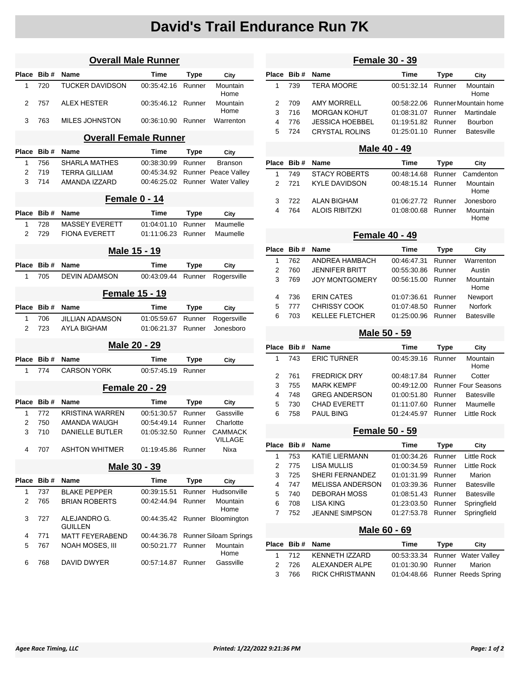## **David's Trail Endurance Run 7K**

| <b>Overall Male Runner</b> |                       |                                |             |             |                           |  |  |
|----------------------------|-----------------------|--------------------------------|-------------|-------------|---------------------------|--|--|
| Place                      | Bib#                  | <b>Name</b>                    | Time        | Type        | City                      |  |  |
| 1                          | 720                   | <b>TUCKER DAVIDSON</b>         | 00:35:42.16 | Runner      | Mountain<br>Home          |  |  |
| 2                          | 757                   | ALEX HESTER                    | 00:35:46.12 | Runner      | Mountain<br>Home          |  |  |
| 3                          | 763                   | <b>MILES JOHNSTON</b>          | 00:36:10.90 | Runner      | Warrenton                 |  |  |
|                            |                       | <b>Overall Female Runner</b>   |             |             |                           |  |  |
| Place                      | Bib#                  | <b>Name</b>                    | Time        | Type        | City                      |  |  |
| 1                          | 756                   | <b>SHARLA MATHES</b>           | 00:38:30.99 | Runner      | <b>Branson</b>            |  |  |
| 2                          | 719                   | <b>TERRA GILLIAM</b>           | 00:45:34.92 |             | Runner Peace Valley       |  |  |
| 3                          | 714                   | AMANDA IZZARD                  | 00:46:25.02 |             | Runner Water Valley       |  |  |
|                            |                       | Female 0 - 14                  |             |             |                           |  |  |
| Place                      | Bib#                  | <b>Name</b>                    | Time        | Type        | City                      |  |  |
| 1                          | 728                   | <b>MASSEY EVERETT</b>          | 01:04:01.10 | Runner      | Maumelle                  |  |  |
| 2                          | 729                   | <b>FIONA EVERETT</b>           | 01:11:06.23 | Runner      | Maumelle                  |  |  |
| Male 15 - 19               |                       |                                |             |             |                           |  |  |
| Place                      | Bib#                  | <b>Name</b>                    | Time        | <b>Type</b> | City                      |  |  |
| 1                          | 705                   | <b>DEVIN ADAMSON</b>           | 00:43:09.44 | Runner      | Rogersville               |  |  |
|                            | <b>Female 15 - 19</b> |                                |             |             |                           |  |  |
| Place                      | Bib#                  | Name                           | Time        | <b>Type</b> | City                      |  |  |
| 1                          | 706                   | <b>JILLIAN ADAMSON</b>         | 01:05:59.67 | Runner      | Rogersville               |  |  |
| 2                          | 723                   | AYLA BIGHAM                    | 01:06:21.37 | Runner      | Jonesboro                 |  |  |
|                            |                       | Male 20 - 29                   |             |             |                           |  |  |
| Place                      | Bib #                 | Name                           | Time        | Type        | City                      |  |  |
| 1                          | 774                   | <b>CARSON YORK</b>             | 00:57:45.19 | Runner      |                           |  |  |
|                            |                       | <b>Female 20 - 29</b>          |             |             |                           |  |  |
| Place                      | Bib#                  | Name                           | Time        | Type        | City                      |  |  |
| 1                          | 772                   | <b>KRISTINA WARREN</b>         | 00:51:30.57 | Runner      | Gassville                 |  |  |
| 2                          | 750                   | AMANDA WAUGH                   | 00:54:49.14 | Runner      | Charlotte                 |  |  |
| 3                          | 710                   | <b>DANIELLE BUTLER</b>         | 01:05:32.50 | Runner      | CAMMACK<br><b>VILLAGE</b> |  |  |
| 4                          | 707                   | <b>ASHTON WHITMER</b>          | 01.19.45.86 | Runner      | Nixa                      |  |  |
| Male 30 - 39               |                       |                                |             |             |                           |  |  |
| <b>Place</b>               | Bib#                  | Name                           | Time        | <b>Type</b> | City                      |  |  |
| 1                          | 737                   | <b>BLAKE PEPPER</b>            | 00:39:15.51 | Runner      | Hudsonville               |  |  |
| 2                          | 765                   | <b>BRIAN ROBERTS</b>           | 00:42:44.94 | Runner      | Mountain<br>Home          |  |  |
| 3                          | 727                   | ALEJANDRO G.<br><b>GUILLEN</b> | 00:44:35.42 | Runner      | Bloomington               |  |  |
| 4                          | 771                   | <b>MATT FEYERABEND</b>         | 00:44:36.78 |             | Runner Siloam Springs     |  |  |
| 5                          | 767                   | <b>NOAH MOSES, III</b>         | 00:50:21.77 | Runner      | Mountain<br>Home          |  |  |
| 6                          | 768                   | DAVID DWYER                    | 00:57:14.87 | Runner      | Gassville                 |  |  |

### **Female 30 - 39 Place Bib # Name Time Type City** 1 739 TERA MOORE 00:51:32.14 Runner Mountain Home 2 709 AMY MORRELL 00:58:22.06 Runner Mountain home 3 716 MORGAN KOHUT 01:08:31.07 Runner Martindale 4 776 JESSICA HOEBBEL 01:19:51.82 Runner Bourbon 5 724 CRYSTAL ROLINS 01:25:01.10 Runner Batesville **Male 40 - 49 Place Bib # Name Time Type City** 1 749 STACY ROBERTS 00:48:14.68 Runner Camdenton 2 721 KYLE DAVIDSON 00:48:15.14 Runner Mountain Home 3 722 ALAN BIGHAM 01:06:27.72 Runner Jonesboro 4 764 ALOIS RIBITZKI 01:08:00.68 Runner Mountain Home **Female 40 - 49 Place Bib # Name Time Type City** 1 762 ANDREA HAMBACH 00:46:47.31 Runner Warrenton

| $\mathcal{P}$ | 760   | <b>JENNIFER BRITT</b>  | 00:55:30.86 Runner | Austin            |
|---------------|-------|------------------------|--------------------|-------------------|
| 3             | 769   | JOY MONTGOMERY         | 00:56:15.00 Runner | Mountain<br>Home  |
|               | 4 736 | ERIN CATES             | 01:07:36.61 Runner | Newport           |
|               | 5 777 | <b>CHRISSY COOK</b>    | 01:07:48.50 Runner | <b>Norfork</b>    |
|               | 6 703 | <b>KELLEE FLETCHER</b> | 01:25:00.96 Runner | <b>Batesville</b> |
|               |       |                        |                    |                   |

#### **Male 50 - 59**

|               | Place Bib # | <b>Name</b>          | Time               | Type   | City                            |
|---------------|-------------|----------------------|--------------------|--------|---------------------------------|
| 1             | 743         | <b>ERIC TURNER</b>   | 00:45:39.16        | Runner | Mountain<br>Home                |
| $\mathcal{P}$ | 761         | <b>FREDRICK DRY</b>  | 00:48:17.84 Runner |        | Cotter                          |
| 3             | 755         | <b>MARK KEMPF</b>    |                    |        | 00:49:12.00 Runner Four Seasons |
| 4             | 748         | <b>GREG ANDERSON</b> | 01:00:51.80        | Runner | <b>Batesville</b>               |
| 5             | 730         | <b>CHAD EVERETT</b>  | 01:11:07.60        | Runner | Maumelle                        |
| 6             | 758         | <b>PAUL BING</b>     | 01:24:45.97        | Runner | Little Rock                     |

#### **Female 50 - 59**

|   | Place Bib# | <b>Name</b>             | Time               | Type   | City              |
|---|------------|-------------------------|--------------------|--------|-------------------|
|   | 753        | <b>KATIE LIERMANN</b>   | 01:00:34.26 Runner |        | Little Rock       |
| 2 | 775        | LISA MULLIS             | 01:00:34.59        | Runner | Little Rock       |
| 3 | 725        | SHERI FERNANDEZ         | 01:01:31.99        | Runner | Marion            |
| 4 | 747        | <b>MELISSA ANDERSON</b> | 01:03:39.36        | Runner | <b>Batesville</b> |
| 5 | 740        | <b>DEBORAH MOSS</b>     | 01:08:51.43        | Runner | <b>Batesville</b> |
| 6 | 708        | I ISA KING              | 01:23:03.50        | Runner | Springfield       |
|   | 752.       | <b>JEANNE SIMPSON</b>   | 01:27:53.78        | Runner | Springfield       |
|   |            |                         |                    |        |                   |

#### **Male 60 - 69**

|       | Place Bib# Name      | Time                      | Tvpe | Citv                            |
|-------|----------------------|---------------------------|------|---------------------------------|
|       | 1 712 KENNETH IZZARD |                           |      | 00:53:33.34 Runner Water Valley |
| 2 726 | ALEXANDER ALPE       | 01:01:30.90 Runner Marion |      |                                 |
| 3 766 | RICK CHRISTMANN      |                           |      | 01:04:48.66 Runner Reeds Spring |